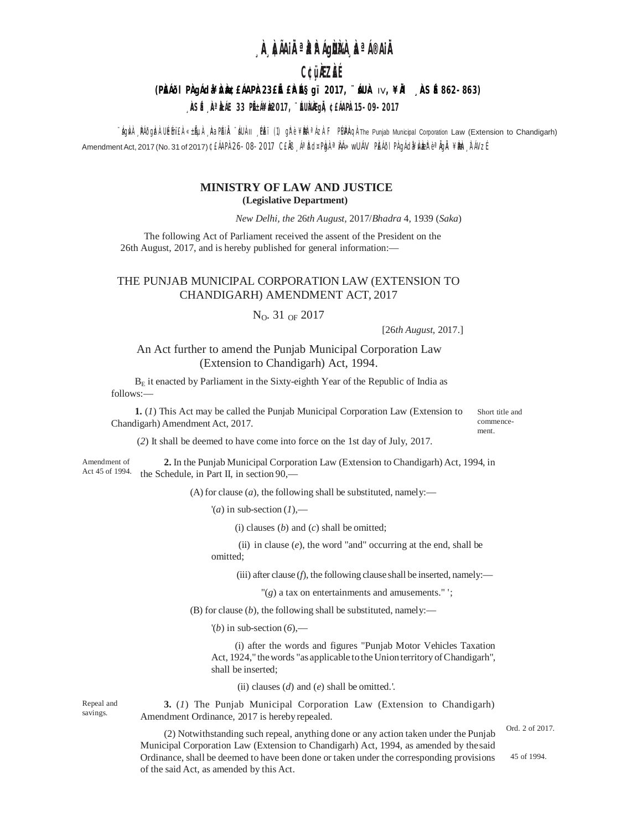## <sub>,</sub> À ÀIAil <sup>a</sup> A AigUÀ À <sup>a to</sup>ail

## C¢üÀZÀÉ (PLAOI PADACLA AGE EAPA 23 ELE EALES qui 2017, "AUA IV, ¥IA ASE 862-863) . ÀSÉ À <sup>a</sup> à le 33 pièn¥à2017, "Eu à à già ¢enapà15-09-2017

`śgivì "PAðgizì Uéfnï£ì «±ἷμì "ÀaPÂiì ``áUŀ ιι "PÈï (1) gł͡rè ¥Bè ªÁzì F P¼PÀqł The Punjab Municipal Corporation Law (Extension to Chandigarh) Amendment Act, 2017 (No. 31 of 2017) CEÁAPÀ 26-08-2017 CEÄB AªĎd¤Pb)a ÀÁ» wUÁV PEÁÖI PÀ gÁd¥À/beR è ªÀqĂ ¥Èbe FÁVzÉ

## **MINISTRY OF LAW AND JUSTICE** (Legislative Department)

New Delhi, the 26th August, 2017/Bhadra 4, 1939 (Saka)

The following Act of Parliament received the assent of the President on the 26th August, 2017, and is hereby published for general information:-

## THE PUNJAB MUNICIPAL CORPORATION LAW (EXTENSION TO CHANDIGARH) AMENDMENT ACT, 2017

 $N_O$ . 31 OF 2017

[ $26th$  August,  $2017$ .]

An Act further to amend the Punjab Municipal Corporation Law (Extension to Chandigarh) Act, 1994.

 $B<sub>E</sub>$  it enacted by Parliament in the Sixty-eighth Year of the Republic of India as follows:-

1. (1) This Act may be called the Punjab Municipal Corporation Law (Extension to Short title and Chandigarh) Amendment Act, 2017.

commencement.

(2) It shall be deemed to have come into force on the 1st day of July, 2017.

Amendment of 2. In the Punjab Municipal Corporation Law (Extension to Chandigarh) Act, 1994, in Act 45 of 1994 the Schedule, in Part II, in section 90,-

(A) for clause (a), the following shall be substituted, namely:—

 $(a)$  in sub-section  $(I)$ ,—

(i) clauses  $(b)$  and  $(c)$  shall be omitted;

(ii) in clause  $(e)$ , the word "and" occurring at the end, shall be omitted:

(iii) after clause  $(f)$ , the following clause shall be inserted, namely:—

 $\prime$ (g) a tax on entertainments and amusements."  $\prime$ ;

(B) for clause  $(b)$ , the following shall be substituted, namely:—

 $'(b)$  in sub-section  $(6)$ ,—

(i) after the words and figures "Punjab Motor Vehicles Taxation Act, 1924," the words "as applicable to the Union territory of Chandigarh", shall be inserted;

(ii) clauses  $(d)$  and  $(e)$  shall be omitted.'.

3. (1) The Punjab Municipal Corporation Law (Extension to Chandigarh) Amendment Ordinance, 2017 is hereby repealed.

Ord. 2 of 2017.

45 of 1994.

(2) Notwithstanding such repeal, anything done or any action taken under the Punjab Municipal Corporation Law (Extension to Chandigarh) Act, 1994, as amended by the said Ordinance, shall be deemed to have been done or taken under the corresponding provisions of the said Act, as amended by this Act.

Repeal and savings.